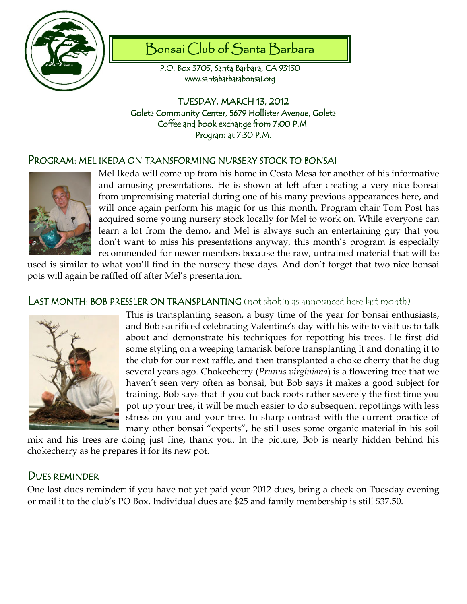

# Bonsai Club of Santa Barbara

P.O. Box 3703, Santa Barbara, CA 93130 www.santabarbarabonsai.org

TUESDAY, MARCH 13, 2012 Goleta Community Center, 5679 Hollister Avenue, Goleta Coffee and book exchange from 7:00 P.M. Program at 7:30 P.M.

## Program: mel ikeda on transforming nursery stock to bonsai



Mel Ikeda will come up from his home in Costa Mesa for another of his informative and amusing presentations. He is shown at left after creating a very nice bonsai from unpromising material during one of his many previous appearances here, and will once again perform his magic for us this month. Program chair Tom Post has acquired some young nursery stock locally for Mel to work on. While everyone can learn a lot from the demo, and Mel is always such an entertaining guy that you don't want to miss his presentations anyway, this month's program is especially recommended for newer members because the raw, untrained material that will be

used is similar to what you'll find in the nursery these days. And don't forget that two nice bonsai pots will again be raffled off after Mel's presentation.

## LAST MONTH: BOB PRESSLER ON TRANSPLANTING (not shohin as announced here last month)



This is transplanting season, a busy time of the year for bonsai enthusiasts, and Bob sacrificed celebrating Valentine's day with his wife to visit us to talk about and demonstrate his techniques for repotting his trees. He first did some styling on a weeping tamarisk before transplanting it and donating it to the club for our next raffle, and then transplanted a choke cherry that he dug several years ago. Chokecherry (Prunus virginiana) is a flowering tree that we haven't seen very often as bonsai, but Bob says it makes a good subject for training. Bob says that if you cut back roots rather severely the first time you pot up your tree, it will be much easier to do subsequent repottings with less stress on you and your tree. In sharp contrast with the current practice of many other bonsai "experts", he still uses some organic material in his soil

mix and his trees are doing just fine, thank you. In the picture, Bob is nearly hidden behind his chokecherry as he prepares it for its new pot.

## DUES REMINDER

One last dues reminder: if you have not yet paid your 2012 dues, bring a check on Tuesday evening or mail it to the club's PO Box. Individual dues are \$25 and family membership is still \$37.50.